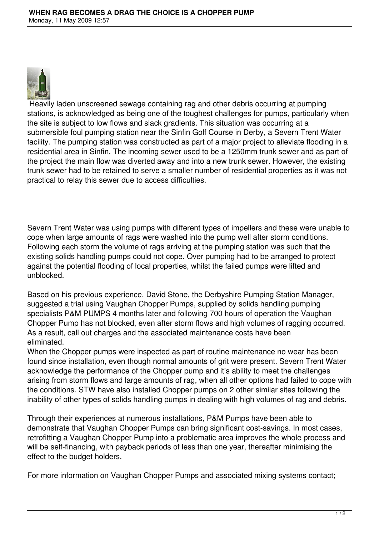

 Heavily laden unscreened sewage containing rag and other debris occurring at pumping stations, is acknowledged as being one of the toughest challenges for pumps, particularly when the site is subject to low flows and slack gradients. This situation was occurring at a submersible foul pumping station near the Sinfin Golf Course in Derby, a Severn Trent Water facility. The pumping station was constructed as part of a major project to alleviate flooding in a residential area in Sinfin. The incoming sewer used to be a 1250mm trunk sewer and as part of the project the main flow was diverted away and into a new trunk sewer. However, the existing trunk sewer had to be retained to serve a smaller number of residential properties as it was not practical to relay this sewer due to access difficulties.

Severn Trent Water was using pumps with different types of impellers and these were unable to cope when large amounts of rags were washed into the pump well after storm conditions. Following each storm the volume of rags arriving at the pumping station was such that the existing solids handling pumps could not cope. Over pumping had to be arranged to protect against the potential flooding of local properties, whilst the failed pumps were lifted and unblocked.

Based on his previous experience, David Stone, the Derbyshire Pumping Station Manager, suggested a trial using Vaughan Chopper Pumps, supplied by solids handling pumping specialists P&M PUMPS 4 months later and following 700 hours of operation the Vaughan Chopper Pump has not blocked, even after storm flows and high volumes of ragging occurred. As a result, call out charges and the associated maintenance costs have been eliminated.

When the Chopper pumps were inspected as part of routine maintenance no wear has been found since installation, even though normal amounts of grit were present. Severn Trent Water acknowledge the performance of the Chopper pump and it's ability to meet the challenges arising from storm flows and large amounts of rag, when all other options had failed to cope with the conditions. STW have also installed Chopper pumps on 2 other similar sites following the inability of other types of solids handling pumps in dealing with high volumes of rag and debris.

Through their experiences at numerous installations, P&M Pumps have been able to demonstrate that Vaughan Chopper Pumps can bring significant cost-savings. In most cases, retrofitting a Vaughan Chopper Pump into a problematic area improves the whole process and will be self-financing, with payback periods of less than one year, thereafter minimising the effect to the budget holders.

For more information on Vaughan Chopper Pumps and associated mixing systems contact;